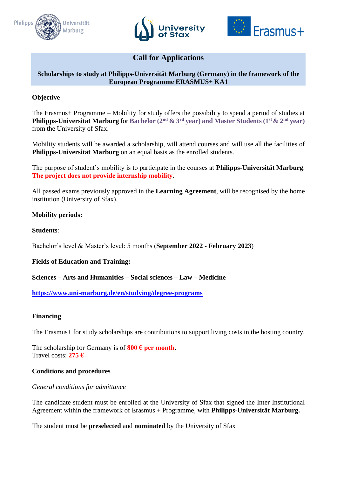





# **Call for Applications**

### **Scholarships to study at Philipps-Universität Marburg (Germany) in the framework of the European Programme ERASMUS+ KA1**

### **Objective**

The Erasmus+ Programme – Mobility for study offers the possibility to spend a period of studies at **Philipps-Universität Marburg** for **Bachelor (2 nd & 3 rd year) and Master Students (1st& 2nd year)** from the University of Sfax.

Mobility students will be awarded a scholarship, will attend courses and will use all the facilities of **Philipps-Universität Marburg** on an equal basis as the enrolled students.

The purpose of student's mobility is to participate in the courses at **Philipps-Universität Marburg**. **The project does not provide internship mobility**.

All passed exams previously approved in the **Learning Agreement**, will be recognised by the home institution (University of Sfax).

### **Mobility periods:**

#### **Students**:

Bachelor's level & Master's level: 5 months (**September 2022 - February 2023**)

### **Fields of Education and Training:**

**Sciences – Arts and Humanities – Social sciences – Law – Medicine** 

**<https://www.uni-marburg.de/en/studying/degree-programs>**

#### **Financing**

The Erasmus+ for study scholarships are contributions to support living costs in the hosting country.

The scholarship for Germany is of  $800 \text{ } \in \text{per month.}$ Travel costs: **275 €**

#### **Conditions and procedures**

#### *General conditions for admittance*

The candidate student must be enrolled at the University of Sfax that signed the Inter Institutional Agreement within the framework of Erasmus + Programme, with **Philipps-Universität Marburg.** 

The student must be **preselected** and **nominated** by the University of Sfax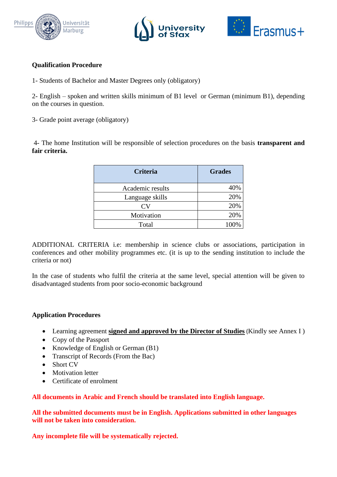





## **Qualification Procedure**

1- Students of Bachelor and Master Degrees only (obligatory)

2- English – spoken and written skills minimum of B1 level or German (minimum B1), depending on the courses in question.

3- Grade point average (obligatory)

4- The home Institution will be responsible of selection procedures on the basis **transparent and fair criteria.**

| <b>Criteria</b>  | <b>Grades</b> |
|------------------|---------------|
| Academic results | 40%           |
| Language skills  | 20%           |
|                  | 20%           |
| Motivation       | 20%           |
| Total            |               |

ADDITIONAL CRITERIA i.e: membership in science clubs or associations, participation in conferences and other mobility programmes etc. (it is up to the sending institution to include the criteria or not)

In the case of students who fulfil the criteria at the same level, special attention will be given to disadvantaged students from poor socio-economic background

### **Application Procedures**

- Learning agreement **signed and approved by the Director of Studies** (Kindly see Annex I )
- Copy of the Passport
- Knowledge of English or German (B1)
- Transcript of Records (From the Bac)
- Short CV
- Motivation letter
- Certificate of enrolment

**All documents in Arabic and French should be translated into English language.**

**All the submitted documents must be in English. Applications submitted in other languages will not be taken into consideration.**

**Any incomplete file will be systematically rejected.**